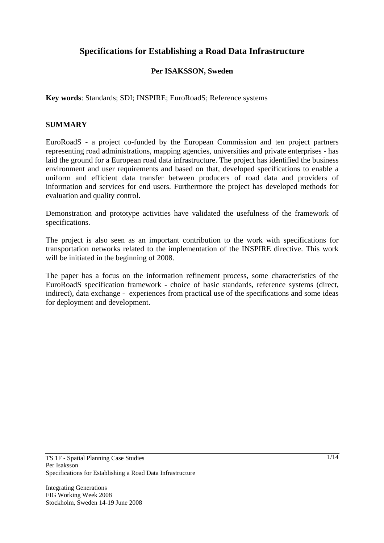# **Specifications for Establishing a Road Data Infrastructure**

### **Per ISAKSSON, Sweden**

**Key words**: Standards; SDI; INSPIRE; EuroRoadS; Reference systems

#### **SUMMARY**

EuroRoadS - a project co-funded by the European Commission and ten project partners representing road administrations, mapping agencies, universities and private enterprises - has laid the ground for a European road data infrastructure. The project has identified the business environment and user requirements and based on that, developed specifications to enable a uniform and efficient data transfer between producers of road data and providers of information and services for end users. Furthermore the project has developed methods for evaluation and quality control.

Demonstration and prototype activities have validated the usefulness of the framework of specifications.

The project is also seen as an important contribution to the work with specifications for transportation networks related to the implementation of the INSPIRE directive. This work will be initiated in the beginning of 2008.

The paper has a focus on the information refinement process, some characteristics of the EuroRoadS specification framework - choice of basic standards, reference systems (direct, indirect), data exchange - experiences from practical use of the specifications and some ideas for deployment and development.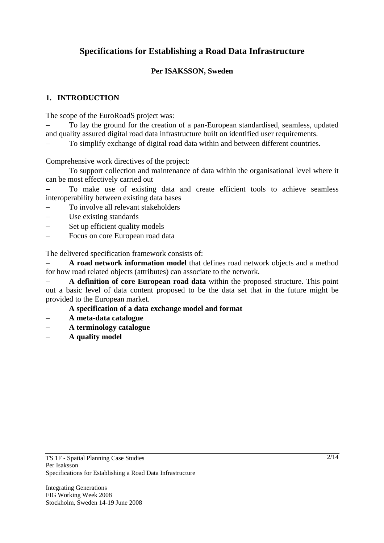# **Specifications for Establishing a Road Data Infrastructure**

# **Per ISAKSSON, Sweden**

### **1. INTRODUCTION**

The scope of the EuroRoadS project was:

− To lay the ground for the creation of a pan-European standardised, seamless, updated and quality assured digital road data infrastructure built on identified user requirements.

To simplify exchange of digital road data within and between different countries.

Comprehensive work directives of the project:

To support collection and maintenance of data within the organisational level where it can be most effectively carried out

To make use of existing data and create efficient tools to achieve seamless interoperability between existing data bases

- − To involve all relevant stakeholders
- Use existing standards
- Set up efficient quality models
- − Focus on core European road data

The delivered specification framework consists of:

A road network information model that defines road network objects and a method for how road related objects (attributes) can associate to the network.

− **A definition of core European road data** within the proposed structure. This point out a basic level of data content proposed to be the data set that in the future might be provided to the European market.

- − **A specification of a data exchange model and format**
- − **A meta-data catalogue**
- − **A terminology catalogue**
- − **A quality model**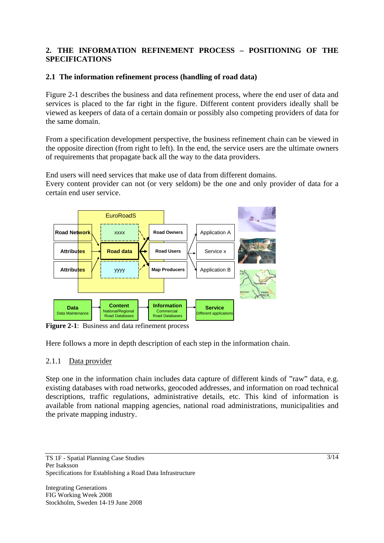# **2. THE INFORMATION REFINEMENT PROCESS – POSITIONING OF THE SPECIFICATIONS**

## **2.1 The information refinement process (handling of road data)**

Figure 2-1 describes the business and data refinement process, where the end user of data and services is placed to the far right in the figure. Different content providers ideally shall be viewed as keepers of data of a certain domain or possibly also competing providers of data for the same domain.

From a specification development perspective, the business refinement chain can be viewed in the opposite direction (from right to left). In the end, the service users are the ultimate owners of requirements that propagate back all the way to the data providers.

End users will need services that make use of data from different domains.

Every content provider can not (or very seldom) be the one and only provider of data for a certain end user service.



**Figure 2-1**: Business and data refinement process

Here follows a more in depth description of each step in the information chain.

### 2.1.1 Data provider

Step one in the information chain includes data capture of different kinds of "raw" data, e.g. existing databases with road networks, geocoded addresses, and information on road technical descriptions, traffic regulations, administrative details, etc. This kind of information is available from national mapping agencies, national road administrations, municipalities and the private mapping industry.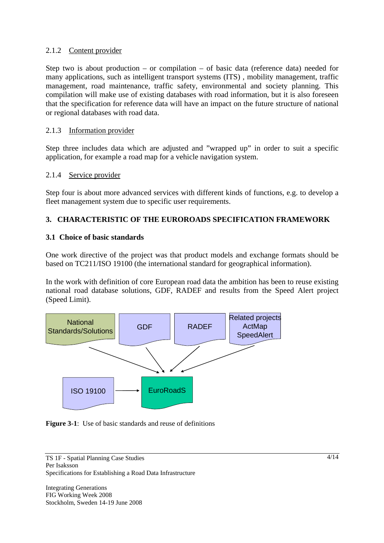## 2.1.2 Content provider

Step two is about production – or compilation – of basic data (reference data) needed for many applications, such as intelligent transport systems (ITS) , mobility management, traffic management, road maintenance, traffic safety, environmental and society planning. This compilation will make use of existing databases with road information, but it is also foreseen that the specification for reference data will have an impact on the future structure of national or regional databases with road data.

## 2.1.3 Information provider

Step three includes data which are adjusted and "wrapped up" in order to suit a specific application, for example a road map for a vehicle navigation system.

### 2.1.4 Service provider

Step four is about more advanced services with different kinds of functions, e.g. to develop a fleet management system due to specific user requirements.

# **3. CHARACTERISTIC OF THE EUROROADS SPECIFICATION FRAMEWORK**

#### **3.1 Choice of basic standards**

One work directive of the project was that product models and exchange formats should be based on TC211/ISO 19100 (the international standard for geographical information).

In the work with definition of core European road data the ambition has been to reuse existing national road database solutions, GDF, RADEF and results from the Speed Alert project (Speed Limit).



**Figure 3-1:** Use of basic standards and reuse of definitions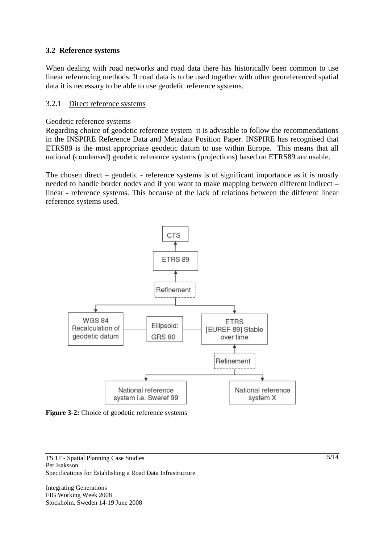#### **3.2 Reference systems**

When dealing with road networks and road data there has historically been common to use linear referencing methods. If road data is to be used together with other georeferenced spatial data it is necessary to be able to use geodetic reference systems.

#### 3.2.1 Direct reference systems

#### Geodetic reference systems

Regarding choice of geodetic reference system it is advisable to follow the recommendations in the INSPIRE Reference Data and Metadata Position Paper. INSPIRE has recognised that ETRS89 is the most appropriate geodetic datum to use within Europe. This means that all national (condensed) geodetic reference systems (projections) based on ETRS89 are usable.

The chosen direct – geodetic - reference systems is of significant importance as it is mostly needed to handle border nodes and if you want to make mapping between different indirect – linear - reference systems. This because of the lack of relations between the different linear reference systems used.



**Figure 3-2:** Choice of geodetic reference systems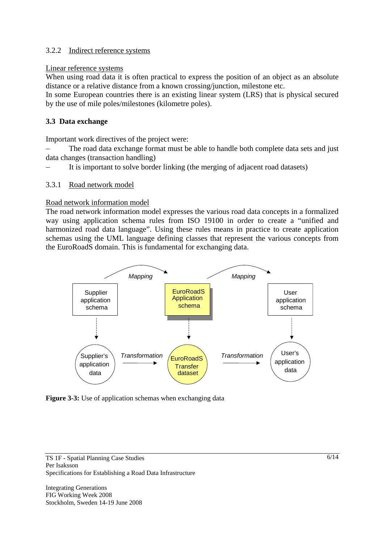## 3.2.2 Indirect reference systems

#### Linear reference systems

When using road data it is often practical to express the position of an object as an absolute distance or a relative distance from a known crossing/junction, milestone etc.

In some European countries there is an existing linear system (LRS) that is physical secured by the use of mile poles/milestones (kilometre poles).

# **3.3 Data exchange**

Important work directives of the project were:

The road data exchange format must be able to handle both complete data sets and just data changes (transaction handling)

It is important to solve border linking (the merging of adjacent road datasets)

### 3.3.1 Road network model

### Road network information model

The road network information model expresses the various road data concepts in a formalized way using application schema rules from ISO 19100 in order to create a "unified and harmonized road data language". Using these rules means in practice to create application schemas using the UML language defining classes that represent the various concepts from the EuroRoadS domain. This is fundamental for exchanging data.



Figure 3-3: Use of application schemas when exchanging data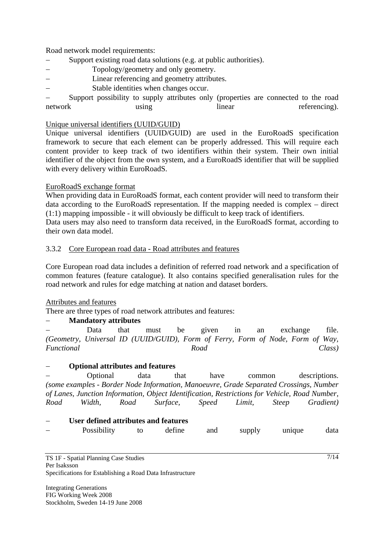Road network model requirements:

- − Support existing road data solutions (e.g. at public authorities).
- Topology/geometry and only geometry.
- Linear referencing and geometry attributes.
- Stable identities when changes occur.

Support possibility to supply attributes only (properties are connected to the road network using using linear referencing).

#### Unique universal identifiers (UUID/GUID)

Unique universal identifiers (UUID/GUID) are used in the EuroRoadS specification framework to secure that each element can be properly addressed. This will require each content provider to keep track of two identifiers within their system. Their own initial identifier of the object from the own system, and a EuroRoadS identifier that will be supplied with every delivery within EuroRoadS.

#### EuroRoadS exchange format

When providing data in EuroRoadS format, each content provider will need to transform their data according to the EuroRoadS representation. If the mapping needed is complex – direct (1:1) mapping impossible - it will obviously be difficult to keep track of identifiers.

Data users may also need to transform data received, in the EuroRoadS format, according to their own data model.

#### 3.3.2 Core European road data - Road attributes and features

Core European road data includes a definition of referred road network and a specification of common features (feature catalogue). It also contains specified generalisation rules for the road network and rules for edge matching at nation and dataset borders.

#### Attributes and features

There are three types of road network attributes and features:

### − **Mandatory attributes**

− Data that must be given in an exchange file. *(Geometry, Universal ID (UUID/GUID), Form of Ferry, Form of Node, Form of Way, Functional Road Class)*

### − **Optional attributes and features**

− Optional data that have common descriptions. *(some examples - Border Node Information, Manoeuvre, Grade Separated Crossings, Number of Lanes, Junction Information, Object Identification, Restrictions for Vehicle, Road Number, Road Width, Road Surface, Speed Limit, Steep Gradient)*

#### − **User defined attributes and features**

Possibility to define and supply unique data

TS 1F - Spatial Planning Case Studies Per Isaksson Specifications for Establishing a Road Data Infrastructure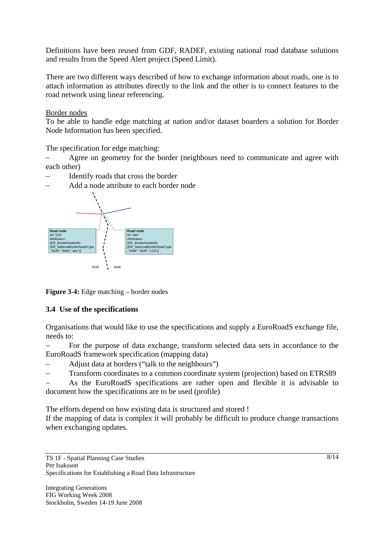Definitions have been reused from GDF, RADEF, existing national road database solutions and results from the Speed Alert project (Speed Limit).

There are two different ways described of how to exchange information about roads, one is to attach information as attributes directly to the link and the other is to connect features to the road network using linear referencing.

#### Border nodes

To be able to handle edge matching at nation and/or dataset boarders a solution for Border Node Information has been specified.

The specification for edge matching:

Agree on geometry for the border (neighbours need to communicate and agree with each other)

Identify roads that cross the border



− Add a node attribute to each border node

**Figure 3-4:** Edge matching – border nodes

### **3.4 Use of the specifications**

Organisations that would like to use the specifications and supply a EuroRoadS exchange file, needs to:

− For the purpose of data exchange, transform selected data sets in accordance to the EuroRoadS framework specification (mapping data)

- Adjust data at borders ("talk to the neighbours")
- Transform coordinates to a common coordinate system (projection) based on ETRS89
- As the EuroRoadS specifications are rather open and flexible it is advisable to document how the specifications are to be used (profile)

The efforts depend on how existing data is structured and stored !

If the mapping of data is complex it will probably be difficult to produce change transactions when exchanging updates.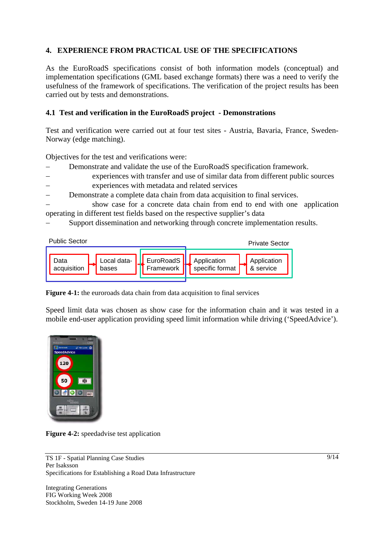# **4. EXPERIENCE FROM PRACTICAL USE OF THE SPECIFICATIONS**

As the EuroRoadS specifications consist of both information models (conceptual) and implementation specifications (GML based exchange formats) there was a need to verify the usefulness of the framework of specifications. The verification of the project results has been carried out by tests and demonstrations.

### **4.1 Test and verification in the EuroRoadS project - Demonstrations**

Test and verification were carried out at four test sites - Austria, Bavaria, France, Sweden-Norway (edge matching).

Objectives for the test and verifications were:

- Demonstrate and validate the use of the EuroRoadS specification framework.
- experiences with transfer and use of similar data from different public sources experiences with metadata and related services
- Demonstrate a complete data chain from data acquisition to final services.

show case for a concrete data chain from end to end with one application operating in different test fields based on the respective supplier's data

Support dissemination and networking through concrete implementation results.



**Figure 4-1:** the euroroads data chain from data acquisition to final services

Speed limit data was chosen as show case for the information chain and it was tested in a mobile end-user application providing speed limit information while driving ('SpeedAdvice').



**Figure 4-2:** speedadvise test application

TS 1F - Spatial Planning Case Studies Per Isaksson Specifications for Establishing a Road Data Infrastructure

Integrating Generations FIG Working Week 2008 Stockholm, Sweden 14-19 June 2008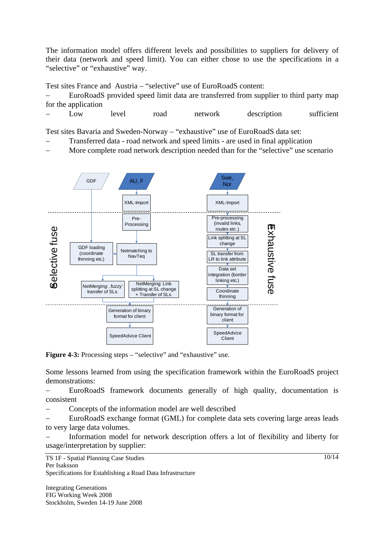The information model offers different levels and possibilities to suppliers for delivery of their data (network and speed limit). You can either chose to use the specifications in a "selective" or "exhaustive" way.

Test sites France and Austria – "selective" use of EuroRoadS content:

EuroRoadS provided speed limit data are transferred from supplier to third party map for the application

− Low level road network description sufficient

Test sites Bavaria and Sweden-Norway – "exhaustive" use of EuroRoadS data set:

- Transferred data road network and speed limits are used in final application
- More complete road network description needed than for the "selective" use scenario



**Figure 4-3:** Processing steps – "selective" and "exhaustive" use.

Some lessons learned from using the specification framework within the EuroRoadS project demonstrations:

EuroRoadS framework documents generally of high quality, documentation is consistent

Concepts of the information model are well described

EuroRoadS exchange format (GML) for complete data sets covering large areas leads to very large data volumes.

Information model for network description offers a lot of flexibility and liberty for usage/interpretation by supplier:

TS 1F - Spatial Planning Case Studies Per Isaksson Specifications for Establishing a Road Data Infrastructure

Integrating Generations FIG Working Week 2008 Stockholm, Sweden 14-19 June 2008 10/14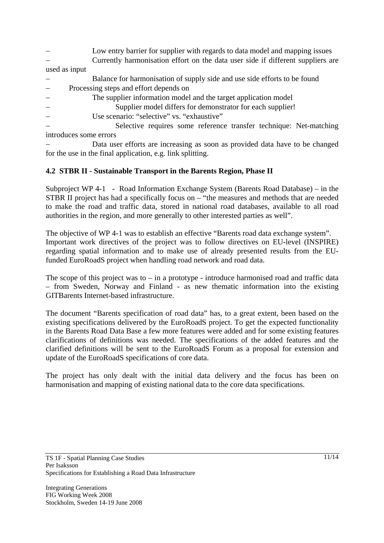Low entry barrier for supplier with regards to data model and mapping issues − Currently harmonisation effort on the data user side if different suppliers are

used as input

- Balance for harmonisation of supply side and use side efforts to be found
- − Processing steps and effort depends on
- The supplier information model and the target application model
	- Supplier model differs for demonstrator for each supplier!
- Use scenario: "selective" vs. "exhaustive"

Selective requires some reference transfer technique: Net-matching introduces some errors

Data user efforts are increasing as soon as provided data have to be changed for the use in the final application, e.g. link splitting.

# **4.2 STBR II - Sustainable Transport in the Barents Region, Phase II**

Subproject WP 4-1 - Road Information Exchange System (Barents Road Database) – in the STBR II project has had a specifically focus on – "the measures and methods that are needed to make the road and traffic data, stored in national road databases, available to all road authorities in the region, and more generally to other interested parties as well".

The objective of WP 4-1 was to establish an effective "Barents road data exchange system". Important work directives of the project was to follow directives on EU-level (INSPIRE) regarding spatial information and to make use of already presented results from the EUfunded EuroRoadS project when handling road network and road data.

The scope of this project was to  $-$  in a prototype - introduce harmonised road and traffic data – from Sweden, Norway and Finland - as new thematic information into the existing GITBarents Internet-based infrastructure.

The document "Barents specification of road data" has, to a great extent, been based on the existing specifications delivered by the EuroRoadS project. To get the expected functionality in the Barents Road Data Base a few more features were added and for some existing features clarifications of definitions was needed. The specifications of the added features and the clarified definitions will be sent to the EuroRoadS Forum as a proposal for extension and update of the EuroRoadS specifications of core data.

The project has only dealt with the initial data delivery and the focus has been on harmonisation and mapping of existing national data to the core data specifications.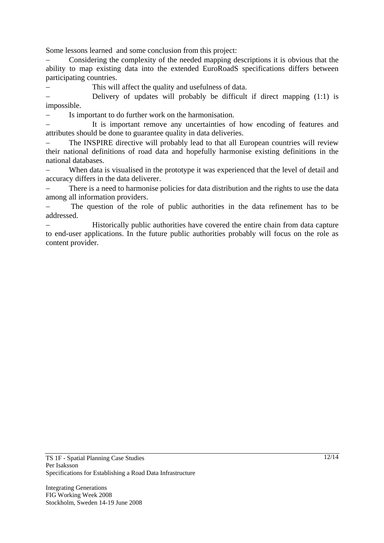Some lessons learned and some conclusion from this project:

− Considering the complexity of the needed mapping descriptions it is obvious that the ability to map existing data into the extended EuroRoadS specifications differs between participating countries.

This will affect the quality and usefulness of data.

Delivery of updates will probably be difficult if direct mapping  $(1:1)$  is impossible.

− Is important to do further work on the harmonisation.

It is important remove any uncertainties of how encoding of features and attributes should be done to guarantee quality in data deliveries.

The INSPIRE directive will probably lead to that all European countries will review their national definitions of road data and hopefully harmonise existing definitions in the national databases.

When data is visualised in the prototype it was experienced that the level of detail and accuracy differs in the data deliverer.

There is a need to harmonise policies for data distribution and the rights to use the data among all information providers.

The question of the role of public authorities in the data refinement has to be addressed.

Historically public authorities have covered the entire chain from data capture to end-user applications. In the future public authorities probably will focus on the role as content provider.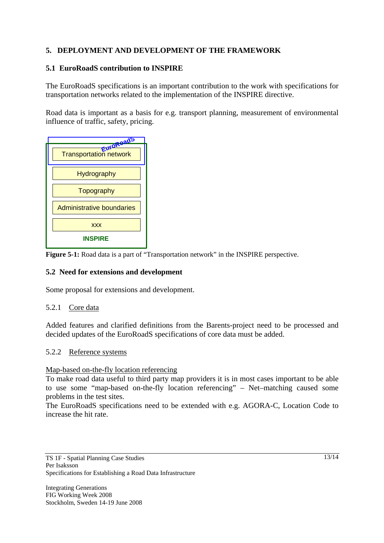# **5. DEPLOYMENT AND DEVELOPMENT OF THE FRAMEWORK**

# **5.1 EuroRoadS contribution to INSPIRE**

The EuroRoadS specifications is an important contribution to the work with specifications for transportation networks related to the implementation of the INSPIRE directive.

Road data is important as a basis for e.g. transport planning, measurement of environmental influence of traffic, safety, pricing.



**Figure 5-1:** Road data is a part of "Transportation network" in the INSPIRE perspective.

### **5.2 Need for extensions and development**

Some proposal for extensions and development.

### 5.2.1 Core data

Added features and clarified definitions from the Barents-project need to be processed and decided updates of the EuroRoadS specifications of core data must be added.

### 5.2.2 Reference systems

### Map-based on-the-fly location referencing

To make road data useful to third party map providers it is in most cases important to be able to use some "map-based on-the-fly location referencing" – Net–matching caused some problems in the test sites.

The EuroRoadS specifications need to be extended with e.g. AGORA-C, Location Code to increase the hit rate.